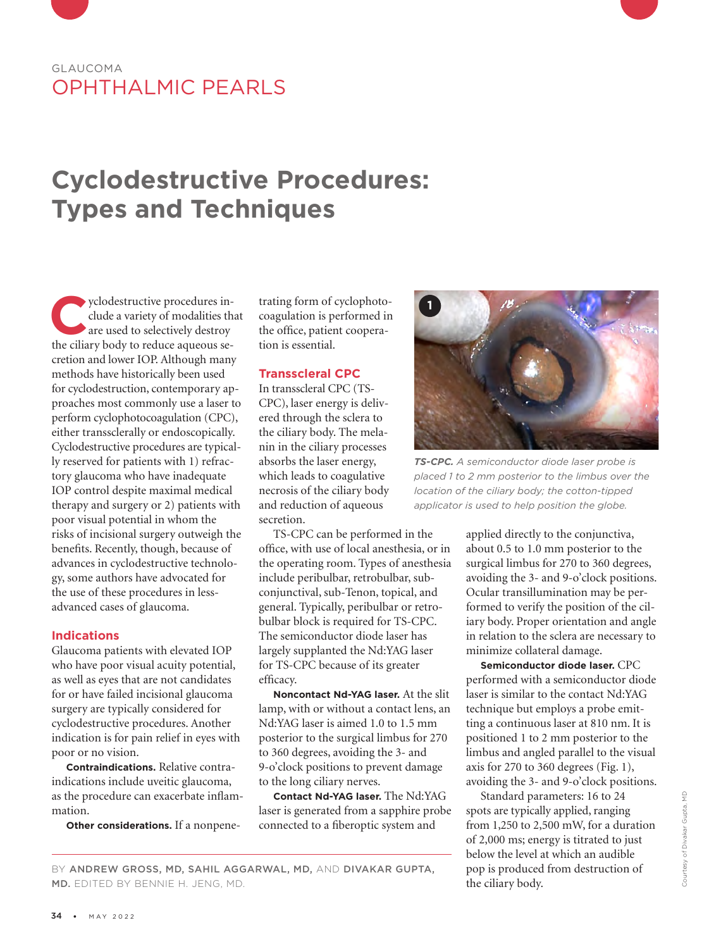# GLAUCOMA OPHTHALMIC PEARLS

# **Cyclodestructive Procedures: Types and Techniques**

**Cyclodestructive procedures in-<br>
dude a variety of modalities the are used to selectively destroy<br>
the ciliary body to reduce agueous se**clude a variety of modalities that the ciliary body to reduce aqueous secretion and lower IOP. Although many methods have historically been used for cyclodestruction, contemporary approaches most commonly use a laser to perform cyclophotocoagulation (CPC), either transsclerally or endoscopically. Cyclodestructive procedures are typically reserved for patients with 1) refractory glaucoma who have inadequate IOP control despite maximal medical therapy and surgery or 2) patients with poor visual potential in whom the risks of incisional surgery outweigh the benefits. Recently, though, because of advances in cyclodestructive technology, some authors have advocated for the use of these procedures in lessadvanced cases of glaucoma.

#### **Indications**

Glaucoma patients with elevated IOP who have poor visual acuity potential, as well as eyes that are not candidates for or have failed incisional glaucoma surgery are typically considered for cyclodestructive procedures. Another indication is for pain relief in eyes with poor or no vision.

**Contraindications.** Relative contraindications include uveitic glaucoma, as the procedure can exacerbate inflammation.

**Other considerations.** If a nonpene-

trating form of cyclophotocoagulation is performed in the office, patient cooperation is essential.

#### **Transscleral CPC**

In transscleral CPC (TS-CPC), laser energy is delivered through the sclera to the ciliary body. The melanin in the ciliary processes absorbs the laser energy, which leads to coagulative necrosis of the ciliary body and reduction of aqueous secretion.

TS-CPC can be performed in the office, with use of local anesthesia, or in the operating room. Types of anesthesia include peribulbar, retrobulbar, subconjunctival, sub-Tenon, topical, and general. Typically, peribulbar or retrobulbar block is required for TS-CPC. The semiconductor diode laser has largely supplanted the Nd:YAG laser for TS-CPC because of its greater efficacy.

**Noncontact Nd-YAG laser.** At the slit lamp, with or without a contact lens, an Nd:YAG laser is aimed 1.0 to 1.5 mm posterior to the surgical limbus for 270 to 360 degrees, avoiding the 3- and 9-o'clock positions to prevent damage to the long ciliary nerves.

**Contact Nd-YAG laser.** The Nd:YAG laser is generated from a sapphire probe connected to a fiberoptic system and



*TS-CPC. A semiconductor diode laser probe is placed 1 to 2 mm posterior to the limbus over the location of the ciliary body; the cotton-tipped applicator is used to help position the globe.* 

applied directly to the conjunctiva, about 0.5 to 1.0 mm posterior to the surgical limbus for 270 to 360 degrees, avoiding the 3- and 9-o'clock positions. Ocular transillumination may be performed to verify the position of the ciliary body. Proper orientation and angle in relation to the sclera are necessary to minimize collateral damage.

**Semiconductor diode laser.** CPC performed with a semiconductor diode laser is similar to the contact Nd:YAG technique but employs a probe emitting a continuous laser at 810 nm. It is positioned 1 to 2 mm posterior to the limbus and angled parallel to the visual axis for 270 to 360 degrees (Fig. 1), avoiding the 3- and 9-o'clock positions.

Standard parameters: 16 to 24 spots are typically applied, ranging from 1,250 to 2,500 mW, for a duration of 2,000 ms; energy is titrated to just below the level at which an audible pop is produced from destruction of the ciliary body.

#### BY ANDREW GROSS, MD, SAHIL AGGARWAL, MD, AND DIVAKAR GUPTA, MD. EDITED BY BENNIE H. JENG, MD.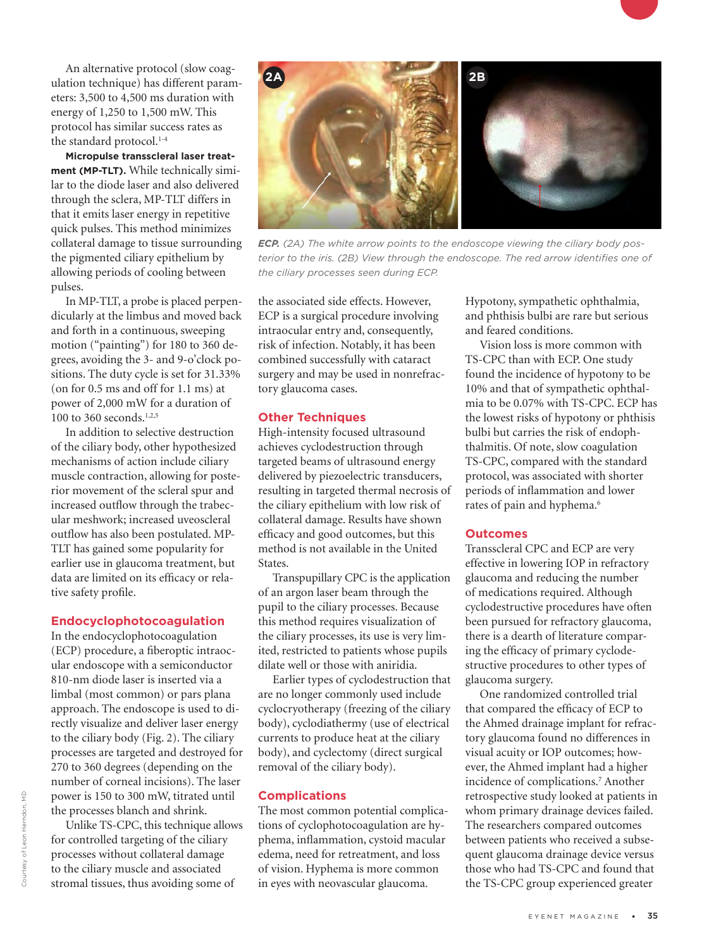An alternative protocol (slow coagulation technique) has different parameters: 3,500 to 4,500 ms duration with energy of 1,250 to 1,500 mW. This protocol has similar success rates as the standard protocol.<sup>1-4</sup>

**Micropulse transscleral laser treatment (MP-TLT).** While technically similar to the diode laser and also delivered through the sclera, MP-TLT differs in that it emits laser energy in repetitive quick pulses. This method minimizes collateral damage to tissue surrounding the pigmented ciliary epithelium by allowing periods of cooling between pulses.

In MP-TLT, a probe is placed perpendicularly at the limbus and moved back and forth in a continuous, sweeping motion ("painting") for 180 to 360 degrees, avoiding the 3- and 9-o'clock positions. The duty cycle is set for 31.33% (on for 0.5 ms and off for 1.1 ms) at power of 2,000 mW for a duration of 100 to 360 seconds.<sup>1,2,5</sup>

In addition to selective destruction of the ciliary body, other hypothesized mechanisms of action include ciliary muscle contraction, allowing for posterior movement of the scleral spur and increased outflow through the trabecular meshwork; increased uveoscleral outflow has also been postulated. MP-TLT has gained some popularity for earlier use in glaucoma treatment, but data are limited on its efficacy or relative safety profile.

#### **Endocyclophotocoagulation**

In the endocyclophotocoagulation (ECP) procedure, a fiberoptic intraocular endoscope with a semiconductor 810-nm diode laser is inserted via a limbal (most common) or pars plana approach. The endoscope is used to directly visualize and deliver laser energy to the ciliary body (Fig. 2). The ciliary processes are targeted and destroyed for 270 to 360 degrees (depending on the number of corneal incisions). The laser power is 150 to 300 mW, titrated until the processes blanch and shrink.

Unlike TS-CPC, this technique allows for controlled targeting of the ciliary processes without collateral damage to the ciliary muscle and associated stromal tissues, thus avoiding some of



*ECP.* (2A) The white arrow points to the endoscope viewing the ciliary body pos*terior to the iris. (2B) View through the endoscope. The red arrow identifies one of the ciliary processes seen during ECP.*

the associated side effects. However, ECP is a surgical procedure involving intraocular entry and, consequently, risk of infection. Notably, it has been combined successfully with cataract surgery and may be used in nonrefractory glaucoma cases.

#### **Other Techniques**

High-intensity focused ultrasound achieves cyclodestruction through targeted beams of ultrasound energy delivered by piezoelectric transducers, resulting in targeted thermal necrosis of the ciliary epithelium with low risk of collateral damage. Results have shown efficacy and good outcomes, but this method is not available in the United States.

Transpupillary CPC is the application of an argon laser beam through the pupil to the ciliary processes. Because this method requires visualization of the ciliary processes, its use is very limited, restricted to patients whose pupils dilate well or those with aniridia.

Earlier types of cyclodestruction that are no longer commonly used include cyclocryotherapy (freezing of the ciliary body), cyclodiathermy (use of electrical currents to produce heat at the ciliary body), and cyclectomy (direct surgical removal of the ciliary body).

#### **Complications**

The most common potential complications of cyclophotocoagulation are hyphema, inflammation, cystoid macular edema, need for retreatment, and loss of vision. Hyphema is more common in eyes with neovascular glaucoma.

Hypotony, sympathetic ophthalmia, and phthisis bulbi are rare but serious and feared conditions.

Vision loss is more common with TS-CPC than with ECP. One study found the incidence of hypotony to be 10% and that of sympathetic ophthalmia to be 0.07% with TS-CPC. ECP has the lowest risks of hypotony or phthisis bulbi but carries the risk of endophthalmitis. Of note, slow coagulation TS-CPC, compared with the standard protocol, was associated with shorter periods of inflammation and lower rates of pain and hyphema.<sup>6</sup>

#### **Outcomes**

Transscleral CPC and ECP are very effective in lowering IOP in refractory glaucoma and reducing the number of medications required. Although cyclodestructive procedures have often been pursued for refractory glaucoma, there is a dearth of literature comparing the efficacy of primary cyclodestructive procedures to other types of glaucoma surgery.

One randomized controlled trial that compared the efficacy of ECP to the Ahmed drainage implant for refractory glaucoma found no differences in visual acuity or IOP outcomes; however, the Ahmed implant had a higher incidence of complications.7 Another retrospective study looked at patients in whom primary drainage devices failed. The researchers compared outcomes between patients who received a subsequent glaucoma drainage device versus those who had TS-CPC and found that the TS-CPC group experienced greater